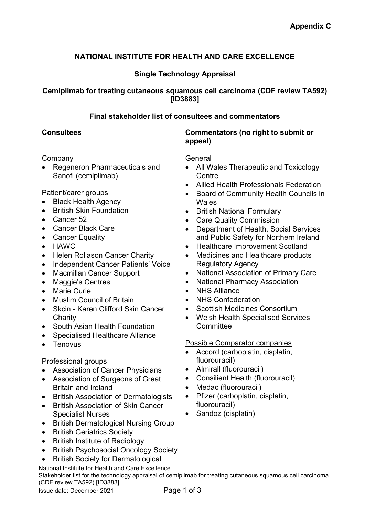# **NATIONAL INSTITUTE FOR HEALTH AND CARE EXCELLENCE**

# **Single Technology Appraisal**

## **Cemiplimab for treating cutaneous squamous cell carcinoma (CDF review TA592) [ID3883]**

#### **Final stakeholder list of consultees and commentators**

| <b>Consultees</b>                                                                                                                                                                                                                                                                                                                                                                                                                                                                                                                                                                                                                                                                                                                                                                                                                                                                                                                                                                                                                               | <b>Commentators (no right to submit or</b>                                                                                                                                                                                                                                                                                                                                                                                                                                                                                                                                                                                                                                                                                                                                                                                                                                                                                                                                                                                                                                                                                                                             |
|-------------------------------------------------------------------------------------------------------------------------------------------------------------------------------------------------------------------------------------------------------------------------------------------------------------------------------------------------------------------------------------------------------------------------------------------------------------------------------------------------------------------------------------------------------------------------------------------------------------------------------------------------------------------------------------------------------------------------------------------------------------------------------------------------------------------------------------------------------------------------------------------------------------------------------------------------------------------------------------------------------------------------------------------------|------------------------------------------------------------------------------------------------------------------------------------------------------------------------------------------------------------------------------------------------------------------------------------------------------------------------------------------------------------------------------------------------------------------------------------------------------------------------------------------------------------------------------------------------------------------------------------------------------------------------------------------------------------------------------------------------------------------------------------------------------------------------------------------------------------------------------------------------------------------------------------------------------------------------------------------------------------------------------------------------------------------------------------------------------------------------------------------------------------------------------------------------------------------------|
|                                                                                                                                                                                                                                                                                                                                                                                                                                                                                                                                                                                                                                                                                                                                                                                                                                                                                                                                                                                                                                                 | appeal)                                                                                                                                                                                                                                                                                                                                                                                                                                                                                                                                                                                                                                                                                                                                                                                                                                                                                                                                                                                                                                                                                                                                                                |
| Company<br>Regeneron Pharmaceuticals and<br>Sanofi (cemiplimab)<br>Patient/carer groups<br><b>Black Health Agency</b><br><b>British Skin Foundation</b><br>Cancer <sub>52</sub><br>$\bullet$<br><b>Cancer Black Care</b><br>$\bullet$<br><b>Cancer Equality</b><br>$\bullet$<br><b>HAWC</b><br>$\bullet$<br><b>Helen Rollason Cancer Charity</b><br>$\bullet$<br><b>Independent Cancer Patients' Voice</b><br>$\bullet$<br><b>Macmillan Cancer Support</b><br>$\bullet$<br><b>Maggie's Centres</b><br>$\bullet$<br><b>Marie Curie</b><br>$\bullet$<br><b>Muslim Council of Britain</b><br>$\bullet$<br>Skcin - Karen Clifford Skin Cancer<br>Charity<br>South Asian Health Foundation<br>$\bullet$<br><b>Specialised Healthcare Alliance</b><br><b>Tenovus</b><br><b>Professional groups</b><br><b>Association of Cancer Physicians</b><br>Association of Surgeons of Great<br><b>Britain and Ireland</b><br><b>British Association of Dermatologists</b><br>$\bullet$<br><b>British Association of Skin Cancer</b><br><b>Specialist Nurses</b> | General<br>All Wales Therapeutic and Toxicology<br>Centre<br><b>Allied Health Professionals Federation</b><br>$\bullet$<br>Board of Community Health Councils in<br>$\bullet$<br>Wales<br><b>British National Formulary</b><br>$\bullet$<br><b>Care Quality Commission</b><br>$\bullet$<br>Department of Health, Social Services<br>$\bullet$<br>and Public Safety for Northern Ireland<br><b>Healthcare Improvement Scotland</b><br>$\bullet$<br>Medicines and Healthcare products<br><b>Regulatory Agency</b><br>National Association of Primary Care<br>$\bullet$<br><b>National Pharmacy Association</b><br>$\bullet$<br><b>NHS Alliance</b><br>$\bullet$<br><b>NHS Confederation</b><br>$\bullet$<br><b>Scottish Medicines Consortium</b><br>$\bullet$<br><b>Welsh Health Specialised Services</b><br>$\bullet$<br>Committee<br><b>Possible Comparator companies</b><br>Accord (carboplatin, cisplatin,<br>$\bullet$<br>fluorouracil)<br>Almirall (fluorouracil)<br>$\bullet$<br><b>Consilient Health (fluorouracil)</b><br>$\bullet$<br>Medac (fluorouracil)<br>Pfizer (carboplatin, cisplatin,<br>$\bullet$<br>fluorouracil)<br>Sandoz (cisplatin)<br>$\bullet$ |
| <b>British Dermatological Nursing Group</b><br><b>British Geriatrics Society</b><br><b>British Institute of Radiology</b><br><b>British Psychosocial Oncology Society</b>                                                                                                                                                                                                                                                                                                                                                                                                                                                                                                                                                                                                                                                                                                                                                                                                                                                                       |                                                                                                                                                                                                                                                                                                                                                                                                                                                                                                                                                                                                                                                                                                                                                                                                                                                                                                                                                                                                                                                                                                                                                                        |
| <b>British Society for Dermatological</b>                                                                                                                                                                                                                                                                                                                                                                                                                                                                                                                                                                                                                                                                                                                                                                                                                                                                                                                                                                                                       |                                                                                                                                                                                                                                                                                                                                                                                                                                                                                                                                                                                                                                                                                                                                                                                                                                                                                                                                                                                                                                                                                                                                                                        |

National Institute for Health and Care Excellence Stakeholder list for the technology appraisal of cemiplimab for treating cutaneous squamous cell carcinoma (CDF review TA592) [ID3883]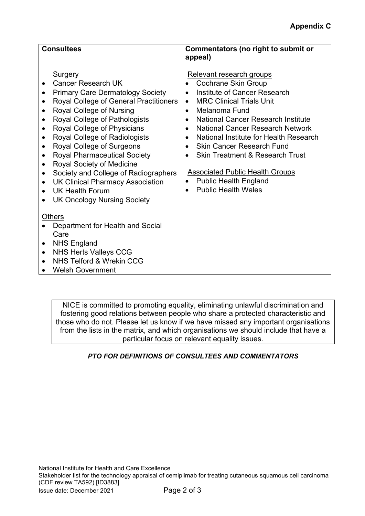| <b>Consultees</b>                                                                                                                                                                                                                                                                                                                                                                                                                                                                                                              | Commentators (no right to submit or<br>appeal)                                                                                                                                                                                                                                                                                                                                                                                                                                                                      |
|--------------------------------------------------------------------------------------------------------------------------------------------------------------------------------------------------------------------------------------------------------------------------------------------------------------------------------------------------------------------------------------------------------------------------------------------------------------------------------------------------------------------------------|---------------------------------------------------------------------------------------------------------------------------------------------------------------------------------------------------------------------------------------------------------------------------------------------------------------------------------------------------------------------------------------------------------------------------------------------------------------------------------------------------------------------|
| Surgery<br><b>Cancer Research UK</b><br><b>Primary Care Dermatology Society</b><br>Royal College of General Practitioners<br>Royal College of Nursing<br>Royal College of Pathologists<br>Royal College of Physicians<br>Royal College of Radiologists<br>Royal College of Surgeons<br><b>Royal Pharmaceutical Society</b><br><b>Royal Society of Medicine</b><br>Society and College of Radiographers<br><b>UK Clinical Pharmacy Association</b><br>$\bullet$<br><b>UK Health Forum</b><br><b>UK Oncology Nursing Society</b> | Relevant research groups<br>Cochrane Skin Group<br>Institute of Cancer Research<br><b>MRC Clinical Trials Unit</b><br>$\bullet$<br>Melanoma Fund<br>$\bullet$<br><b>National Cancer Research Institute</b><br>$\bullet$<br><b>National Cancer Research Network</b><br>$\bullet$<br>National Institute for Health Research<br><b>Skin Cancer Research Fund</b><br><b>Skin Treatment &amp; Research Trust</b><br><b>Associated Public Health Groups</b><br><b>Public Health England</b><br><b>Public Health Wales</b> |
| <b>Others</b><br>Department for Health and Social<br>Care<br><b>NHS England</b><br><b>NHS Herts Valleys CCG</b><br>NHS Telford & Wrekin CCG<br><b>Welsh Government</b>                                                                                                                                                                                                                                                                                                                                                         |                                                                                                                                                                                                                                                                                                                                                                                                                                                                                                                     |

NICE is committed to promoting equality, eliminating unlawful discrimination and fostering good relations between people who share a protected characteristic and those who do not. Please let us know if we have missed any important organisations from the lists in the matrix, and which organisations we should include that have a particular focus on relevant equality issues.

## *PTO FOR DEFINITIONS OF CONSULTEES AND COMMENTATORS*